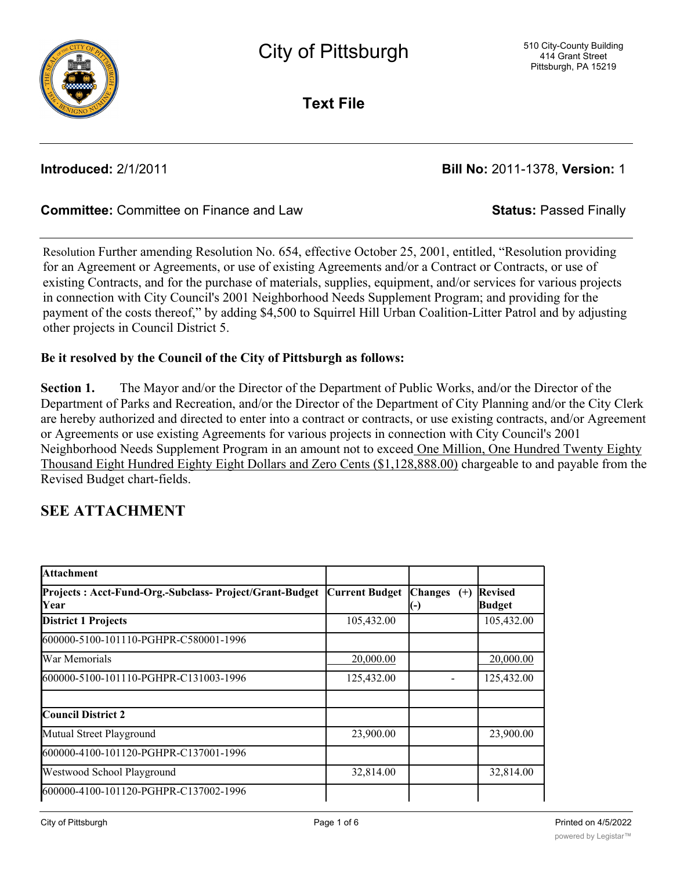

**Text File**

**Introduced:** 2/1/2011 **Bill No:** 2011-1378, **Version:** 1

### **Committee:** Committee on Finance and Law **Status:** Passed Finally

Resolution Further amending Resolution No. 654, effective October 25, 2001, entitled, "Resolution providing for an Agreement or Agreements, or use of existing Agreements and/or a Contract or Contracts, or use of existing Contracts, and for the purchase of materials, supplies, equipment, and/or services for various projects in connection with City Council's 2001 Neighborhood Needs Supplement Program; and providing for the payment of the costs thereof," by adding \$4,500 to Squirrel Hill Urban Coalition-Litter Patrol and by adjusting other projects in Council District 5.

### **Be it resolved by the Council of the City of Pittsburgh as follows:**

**Section 1.** The Mayor and/or the Director of the Department of Public Works, and/or the Director of the Department of Parks and Recreation, and/or the Director of the Department of City Planning and/or the City Clerk are hereby authorized and directed to enter into a contract or contracts, or use existing contracts, and/or Agreement or Agreements or use existing Agreements for various projects in connection with City Council's 2001 Neighborhood Needs Supplement Program in an amount not to exceed One Million, One Hundred Twenty Eighty Thousand Eight Hundred Eighty Eight Dollars and Zero Cents (\$1,128,888.00) chargeable to and payable from the Revised Budget chart-fields.

### **SEE ATTACHMENT**

| <b>Attachment</b>                                               |                       |                                   |                                 |
|-----------------------------------------------------------------|-----------------------|-----------------------------------|---------------------------------|
| Projects: Acct-Fund-Org.-Subclass- Project/Grant-Budget<br>Year | <b>Current Budget</b> | <b>Changes</b><br>$^{(+)}$<br>(-) | <b>Revised</b><br><b>Budget</b> |
| <b>District 1 Projects</b>                                      | 105,432.00            |                                   | 105,432.00                      |
| l600000-5100-101110-PGHPR-C580001-1996                          |                       |                                   |                                 |
| War Memorials                                                   | 20,000.00             |                                   | 20,000.00                       |
| 600000-5100-101110-PGHPR-C131003-1996                           | 125,432.00            |                                   | 125,432.00                      |
|                                                                 |                       |                                   |                                 |
| Council District 2                                              |                       |                                   |                                 |
| Mutual Street Playground                                        | 23,900.00             |                                   | 23,900.00                       |
| l600000-4100-101120-PGHPR-C137001-1996                          |                       |                                   |                                 |
| Westwood School Playground                                      | 32,814.00             |                                   | 32,814.00                       |
| l600000-4100-101120-PGHPR-C137002-1996                          |                       |                                   |                                 |

District 2 Speed Monitoring Trailer -Steuben St 9,979.00 9,979.00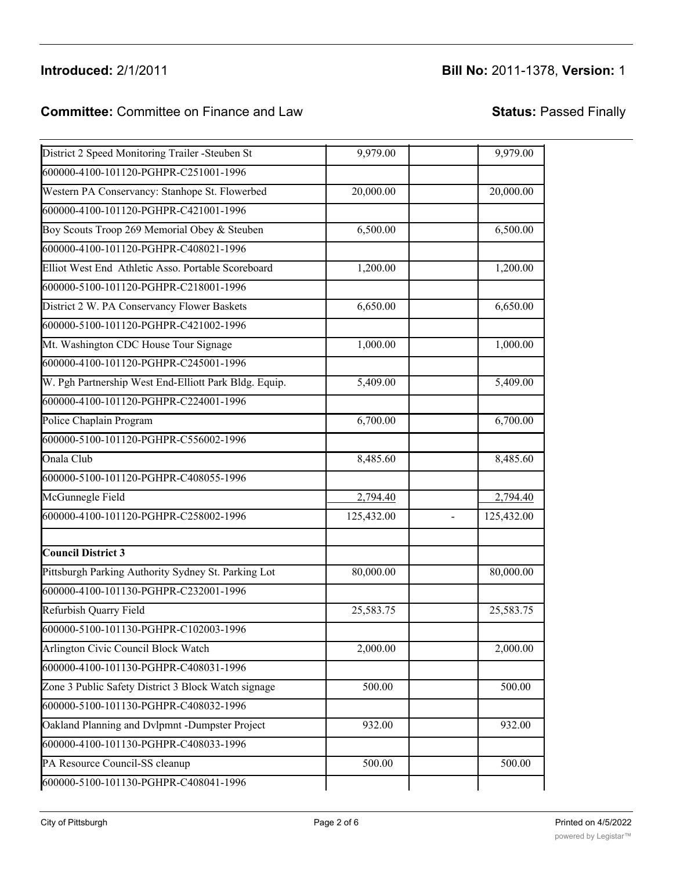# **Introduced:** 2/1/2011 **Bill No:** 2011-1378, **Version:** 1

### **Committee:** Committee on Finance and Law **Status:** Passed Finally

600000-4100-101120-PGHPR-C137002-1996

| District 2 Speed Monitoring Trailer -Steuben St       | 9,979.00   | 9,979.00   |
|-------------------------------------------------------|------------|------------|
| 600000-4100-101120-PGHPR-C251001-1996                 |            |            |
| Western PA Conservancy: Stanhope St. Flowerbed        | 20,000.00  | 20,000.00  |
| 600000-4100-101120-PGHPR-C421001-1996                 |            |            |
| Boy Scouts Troop 269 Memorial Obey & Steuben          | 6,500.00   | 6,500.00   |
| 600000-4100-101120-PGHPR-C408021-1996                 |            |            |
| Elliot West End Athletic Asso. Portable Scoreboard    | 1,200.00   | 1,200.00   |
| 600000-5100-101120-PGHPR-C218001-1996                 |            |            |
| District 2 W. PA Conservancy Flower Baskets           | 6,650.00   | 6,650.00   |
| 600000-5100-101120-PGHPR-C421002-1996                 |            |            |
| Mt. Washington CDC House Tour Signage                 | 1,000.00   | 1,000.00   |
| 600000-4100-101120-PGHPR-C245001-1996                 |            |            |
| W. Pgh Partnership West End-Elliott Park Bldg. Equip. | 5,409.00   | 5,409.00   |
| 600000-4100-101120-PGHPR-C224001-1996                 |            |            |
| Police Chaplain Program                               | 6,700.00   | 6,700.00   |
| 600000-5100-101120-PGHPR-C556002-1996                 |            |            |
| Onala Club                                            | 8,485.60   | 8,485.60   |
| 600000-5100-101120-PGHPR-C408055-1996                 |            |            |
| McGunnegle Field                                      | 2,794.40   | 2,794.40   |
| 600000-4100-101120-PGHPR-C258002-1996                 | 125,432.00 | 125,432.00 |
| <b>Council District 3</b>                             |            |            |
| Pittsburgh Parking Authority Sydney St. Parking Lot   | 80,000.00  | 80,000.00  |
| 600000-4100-101130-PGHPR-C232001-1996                 |            |            |
| Refurbish Quarry Field                                | 25,583.75  | 25,583.75  |
| 600000-5100-101130-PGHPR-C102003-1996                 |            |            |
| Arlington Civic Council Block Watch                   | 2,000.00   | 2,000.00   |
| 600000-4100-101130-PGHPR-C408031-1996                 |            |            |
| Zone 3 Public Safety District 3 Block Watch signage   | 500.00     | 500.00     |
| 600000-5100-101130-PGHPR-C408032-1996                 |            |            |
| Oakland Planning and Dvlpmnt -Dumpster Project        | 932.00     | 932.00     |
| 600000-4100-101130-PGHPR-C408033-1996                 |            |            |
| PA Resource Council-SS cleanup                        | 500.00     | 500.00     |
| 600000-5100-101130-PGHPR-C408041-1996                 |            |            |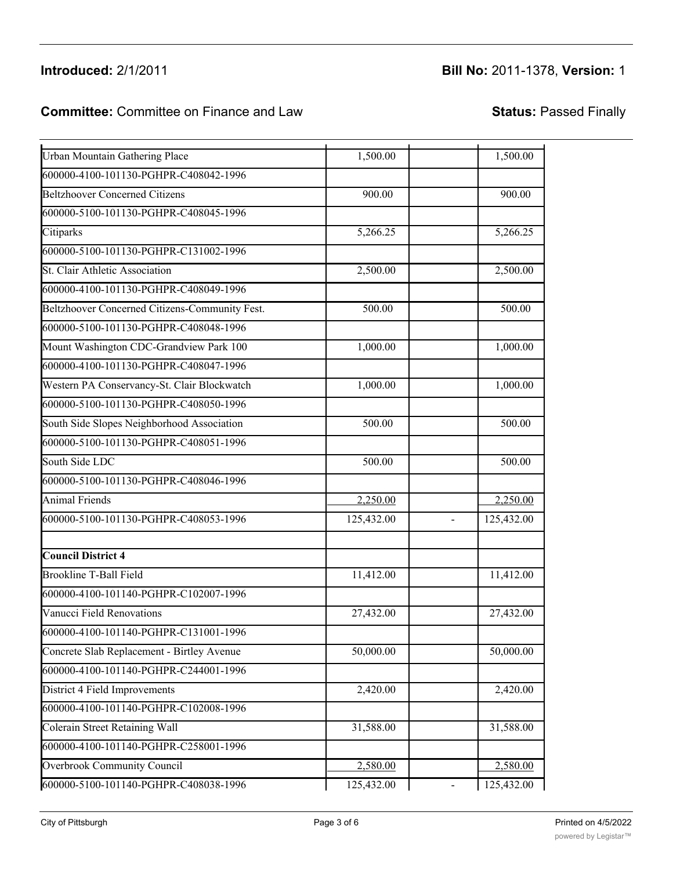### Introduced: 2/1/2011 Oakland Planning and Dvlpmnt -Dumpster Project 932.00 932.00

# **Introduced:** 2/1/2011 **Bill No:** 2011-1378, **Version:** 1

### **Committee:** Committee on Finance and Law **Status:** Passed Finally  $\sum_{i=1}^{\infty}$   $\sum_{i=1}^{\infty}$   $\sum_{i=1}^{\infty}$   $\sum_{i=1}^{\infty}$   $\sum_{i=1}^{\infty}$   $\sum_{i=1}^{\infty}$   $\sum_{i=1}^{\infty}$   $\sum_{i=1}^{\infty}$   $\sum_{i=1}^{\infty}$   $\sum_{i=1}^{\infty}$   $\sum_{i=1}^{\infty}$   $\sum_{i=1}^{\infty}$   $\sum_{i=1}^{\infty}$   $\sum_{i=1}^{\infty}$   $\sum_{i=1}^{\in$

| <b>Urban Mountain Gathering Place</b>          | 1,500.00   | 1,500.00   |
|------------------------------------------------|------------|------------|
| 600000-4100-101130-PGHPR-C408042-1996          |            |            |
| <b>Beltzhoover Concerned Citizens</b>          | 900.00     | 900.00     |
| 600000-5100-101130-PGHPR-C408045-1996          |            |            |
| Citiparks                                      | 5,266.25   | 5,266.25   |
| 600000-5100-101130-PGHPR-C131002-1996          |            |            |
| St. Clair Athletic Association                 | 2,500.00   | 2,500.00   |
| 600000-4100-101130-PGHPR-C408049-1996          |            |            |
| Beltzhoover Concerned Citizens-Community Fest. | 500.00     | 500.00     |
| 600000-5100-101130-PGHPR-C408048-1996          |            |            |
| Mount Washington CDC-Grandview Park 100        | 1,000.00   | 1,000.00   |
| 600000-4100-101130-PGHPR-C408047-1996          |            |            |
| Western PA Conservancy-St. Clair Blockwatch    | 1,000.00   | 1,000.00   |
| 600000-5100-101130-PGHPR-C408050-1996          |            |            |
| South Side Slopes Neighborhood Association     | 500.00     | 500.00     |
| 600000-5100-101130-PGHPR-C408051-1996          |            |            |
| South Side LDC                                 | 500.00     | 500.00     |
| 600000-5100-101130-PGHPR-C408046-1996          |            |            |
| <b>Animal Friends</b>                          | 2,250.00   | 2,250.00   |
| 600000-5100-101130-PGHPR-C408053-1996          | 125,432.00 | 125,432.00 |
| <b>Council District 4</b>                      |            |            |
| <b>Brookline T-Ball Field</b>                  | 11,412.00  | 11,412.00  |
| 600000-4100-101140-PGHPR-C102007-1996          |            |            |
| Vanucci Field Renovations                      | 27,432.00  | 27,432.00  |
| 600000-4100-101140-PGHPR-C131001-1996          |            |            |
| Concrete Slab Replacement - Birtley Avenue     | 50,000.00  | 50,000.00  |
| 600000-4100-101140-PGHPR-C244001-1996          |            |            |
| District 4 Field Improvements                  | 2,420.00   | 2,420.00   |
| 600000-4100-101140-PGHPR-C102008-1996          |            |            |
| <b>Colerain Street Retaining Wall</b>          | 31,588.00  | 31,588.00  |
| 600000-4100-101140-PGHPR-C258001-1996          |            |            |
| Overbrook Community Council                    | 2,580.00   | 2,580.00   |
| 600000-5100-101140-PGHPR-C408038-1996          | 125,432.00 | 125,432.00 |

Zone 3 Public Safety District 3 Block Watch signage 500.00 500.00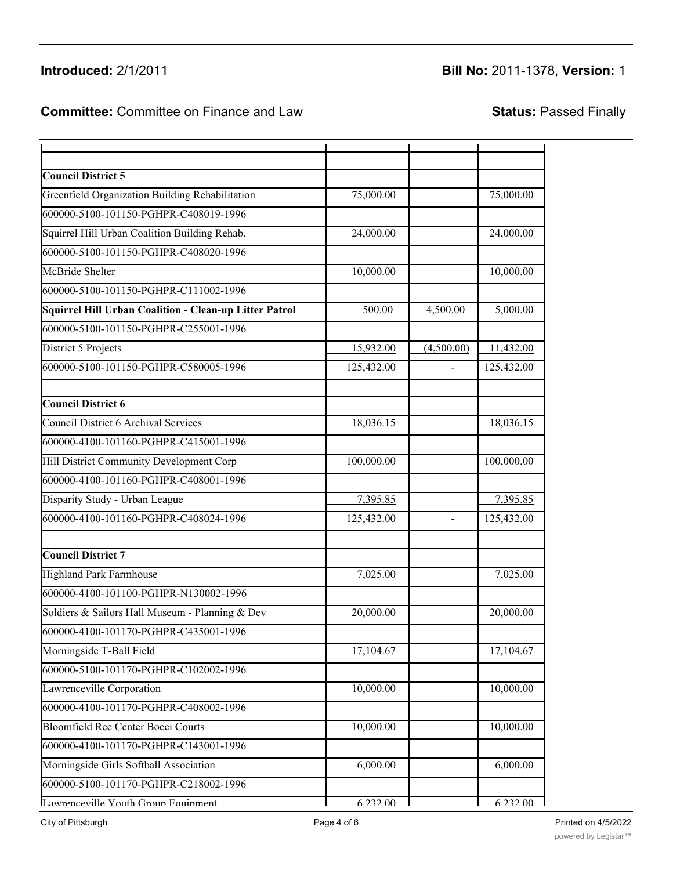## Introduced: 2/1/2011

## **Introduced:** 2/1/2011 **Bill No:** 2011-1378, **Version:** 1

### **Committee:** Committee on Finance and Law **Status:** Passed Finally 600000-4100-101140-PGHPR-C258001-1996 Overbrook Community Council 2,580.00 2,580.00

| <b>Council District 5</b>                                     |            |                |            |
|---------------------------------------------------------------|------------|----------------|------------|
| Greenfield Organization Building Rehabilitation               | 75,000.00  |                | 75,000.00  |
| 600000-5100-101150-PGHPR-C408019-1996                         |            |                |            |
| Squirrel Hill Urban Coalition Building Rehab.                 | 24,000.00  |                | 24,000.00  |
| 600000-5100-101150-PGHPR-C408020-1996                         |            |                |            |
| McBride Shelter                                               | 10,000.00  |                | 10,000.00  |
| 600000-5100-101150-PGHPR-C111002-1996                         |            |                |            |
| <b>Squirrel Hill Urban Coalition - Clean-up Litter Patrol</b> | 500.00     | 4,500.00       | 5,000.00   |
| 600000-5100-101150-PGHPR-C255001-1996                         |            |                |            |
| District 5 Projects                                           | 15,932.00  | (4,500.00)     | 11,432.00  |
| 600000-5100-101150-PGHPR-C580005-1996                         | 125,432.00 |                | 125,432.00 |
| <b>Council District 6</b>                                     |            |                |            |
| <b>Council District 6 Archival Services</b>                   | 18,036.15  |                | 18,036.15  |
| 600000-4100-101160-PGHPR-C415001-1996                         |            |                |            |
| Hill District Community Development Corp                      | 100,000.00 |                | 100,000.00 |
| 600000-4100-101160-PGHPR-C408001-1996                         |            |                |            |
| Disparity Study - Urban League                                | 7,395.85   |                | 7,395.85   |
| 600000-4100-101160-PGHPR-C408024-1996                         | 125,432.00 | $\overline{a}$ | 125,432.00 |
| <b>Council District 7</b>                                     |            |                |            |
| <b>Highland Park Farmhouse</b>                                | 7,025.00   |                | 7,025.00   |
| 600000-4100-101100-PGHPR-N130002-1996                         |            |                |            |
| Soldiers & Sailors Hall Museum - Planning & Dev               | 20,000.00  |                | 20,000.00  |
| 600000-4100-101170-PGHPR-C435001-1996                         |            |                |            |
| Morningside T-Ball Field                                      | 17,104.67  |                | 17,104.67  |
| 600000-5100-101170-PGHPR-C102002-1996                         |            |                |            |
| Lawrenceville Corporation                                     | 10,000.00  |                | 10,000.00  |
| 600000-4100-101170-PGHPR-C408002-1996                         |            |                |            |
| <b>Bloomfield Rec Center Bocci Courts</b>                     | 10,000.00  |                | 10,000.00  |
| 600000-4100-101170-PGHPR-C143001-1996                         |            |                |            |
| Morningside Girls Softball Association                        | 6,000.00   |                | 6,000.00   |
| 600000-5100-101170-PGHPR-C218002-1996                         |            |                |            |
| Lawrenceville Youth Groun Equinment                           | 6.232.00   |                | 6.232.00   |

District 4 Field Improvements 2,420.00 2,420.00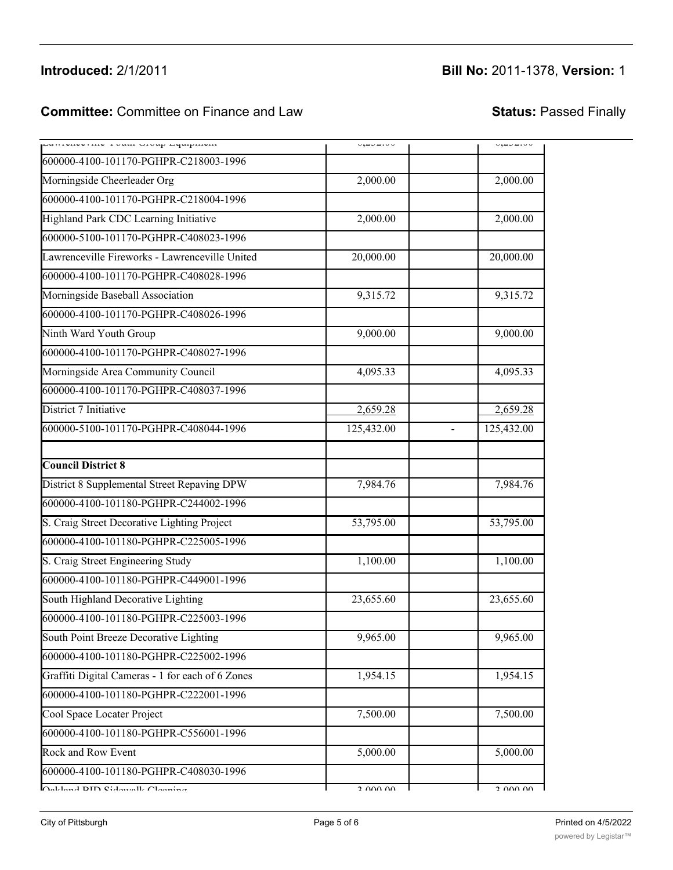# **Introduced:** 2/1/2011 **Bill No:** 2011-1378, **Version:** 1

# **Committee:** Committee on Finance and Law **Status:** Passed Finally

600000-4100-101170-PGHPR-C408002-1996

| panivnyviny ivani vivap repapniyan               | u,ecenou   | u, <i>aua</i> iuu |
|--------------------------------------------------|------------|-------------------|
| 600000-4100-101170-PGHPR-C218003-1996            |            |                   |
| Morningside Cheerleader Org                      | 2,000.00   | 2,000.00          |
| 600000-4100-101170-PGHPR-C218004-1996            |            |                   |
| Highland Park CDC Learning Initiative            | 2,000.00   | 2,000.00          |
| 600000-5100-101170-PGHPR-C408023-1996            |            |                   |
| Lawrenceville Fireworks - Lawrenceville United   | 20,000.00  | 20,000.00         |
| 600000-4100-101170-PGHPR-C408028-1996            |            |                   |
| Morningside Baseball Association                 | 9,315.72   | 9,315.72          |
| 600000-4100-101170-PGHPR-C408026-1996            |            |                   |
| Ninth Ward Youth Group                           | 9,000.00   | 9,000.00          |
| 600000-4100-101170-PGHPR-C408027-1996            |            |                   |
| Morningside Area Community Council               | 4,095.33   | 4,095.33          |
| 600000-4100-101170-PGHPR-C408037-1996            |            |                   |
| District 7 Initiative                            | 2,659.28   | 2,659.28          |
| 600000-5100-101170-PGHPR-C408044-1996            | 125,432.00 | 125,432.00        |
| <b>Council District 8</b>                        |            |                   |
| District 8 Supplemental Street Repaving DPW      | 7,984.76   | 7,984.76          |
| 600000-4100-101180-PGHPR-C244002-1996            |            |                   |
| S. Craig Street Decorative Lighting Project      | 53,795.00  | 53,795.00         |
| 600000-4100-101180-PGHPR-C225005-1996            |            |                   |
| S. Craig Street Engineering Study                | 1,100.00   | 1,100.00          |
| 600000-4100-101180-PGHPR-C449001-1996            |            |                   |
| South Highland Decorative Lighting               | 23,655.60  | 23,655.60         |
| 600000-4100-101180-PGHPR-C225003-1996            |            |                   |
| South Point Breeze Decorative Lighting           | 9,965.00   | 9,965.00          |
| 600000-4100-101180-PGHPR-C225002-1996            |            |                   |
| Graffiti Digital Cameras - 1 for each of 6 Zones | 1,954.15   | 1,954.15          |
| 600000-4100-101180-PGHPR-C222001-1996            |            |                   |
| Cool Space Locater Project                       | 7,500.00   | 7,500.00          |
| 600000-4100-101180-PGHPR-C556001-1996            |            |                   |
| Rock and Row Event                               | 5,000.00   | 5,000.00          |
| 600000-4100-101180-PGHPR-C408030-1996            |            |                   |
| $\bigcap_{n=1}^{n}$ dend $n=0$                   | 2.000.00   | 2.000,00          |

 $\mathcal{L}(\mathcal{A})$  and  $\mathcal{A}(\mathcal{A})$  and  $\mathcal{A}(\mathcal{A})$  and  $\mathcal{A}(\mathcal{A})$